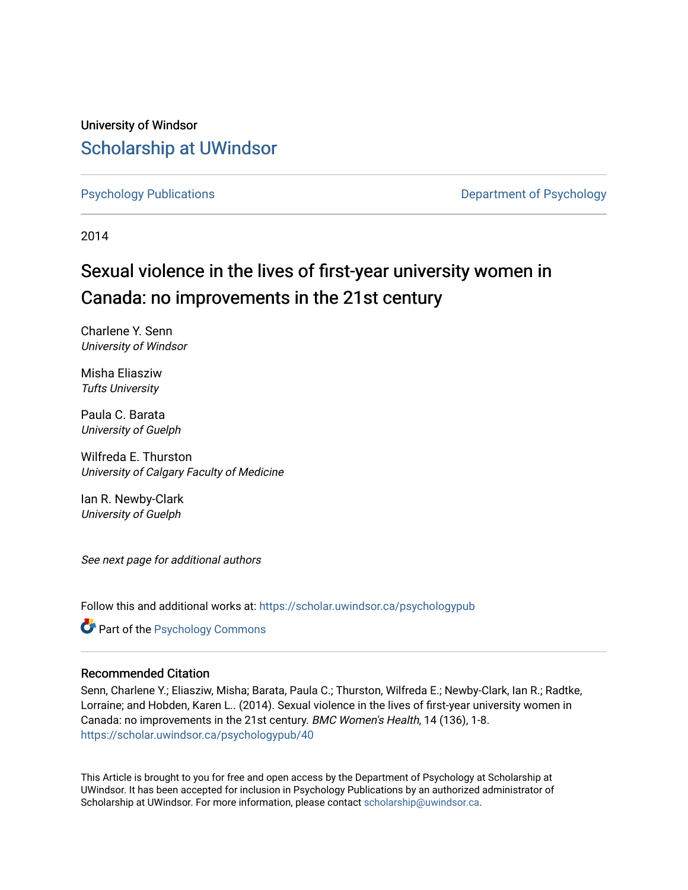University of Windsor [Scholarship at UWindsor](https://scholar.uwindsor.ca/) 

[Psychology Publications](https://scholar.uwindsor.ca/psychologypub) [Department of Psychology](https://scholar.uwindsor.ca/psychology) 

2014

# Sexual violence in the lives of first-year university women in Canada: no improvements in the 21st century

Charlene Y. Senn University of Windsor

Misha Eliasziw Tufts University

Paula C. Barata University of Guelph

Wilfreda E. Thurston University of Calgary Faculty of Medicine

Ian R. Newby-Clark University of Guelph

See next page for additional authors

Follow this and additional works at: [https://scholar.uwindsor.ca/psychologypub](https://scholar.uwindsor.ca/psychologypub?utm_source=scholar.uwindsor.ca%2Fpsychologypub%2F40&utm_medium=PDF&utm_campaign=PDFCoverPages) 

**Part of the Psychology Commons** 

# Recommended Citation

Senn, Charlene Y.; Eliasziw, Misha; Barata, Paula C.; Thurston, Wilfreda E.; Newby-Clark, Ian R.; Radtke, Lorraine; and Hobden, Karen L.. (2014). Sexual violence in the lives of first-year university women in Canada: no improvements in the 21st century. BMC Women's Health, 14 (136), 1-8. [https://scholar.uwindsor.ca/psychologypub/40](https://scholar.uwindsor.ca/psychologypub/40?utm_source=scholar.uwindsor.ca%2Fpsychologypub%2F40&utm_medium=PDF&utm_campaign=PDFCoverPages)

This Article is brought to you for free and open access by the Department of Psychology at Scholarship at UWindsor. It has been accepted for inclusion in Psychology Publications by an authorized administrator of Scholarship at UWindsor. For more information, please contact [scholarship@uwindsor.ca.](mailto:scholarship@uwindsor.ca)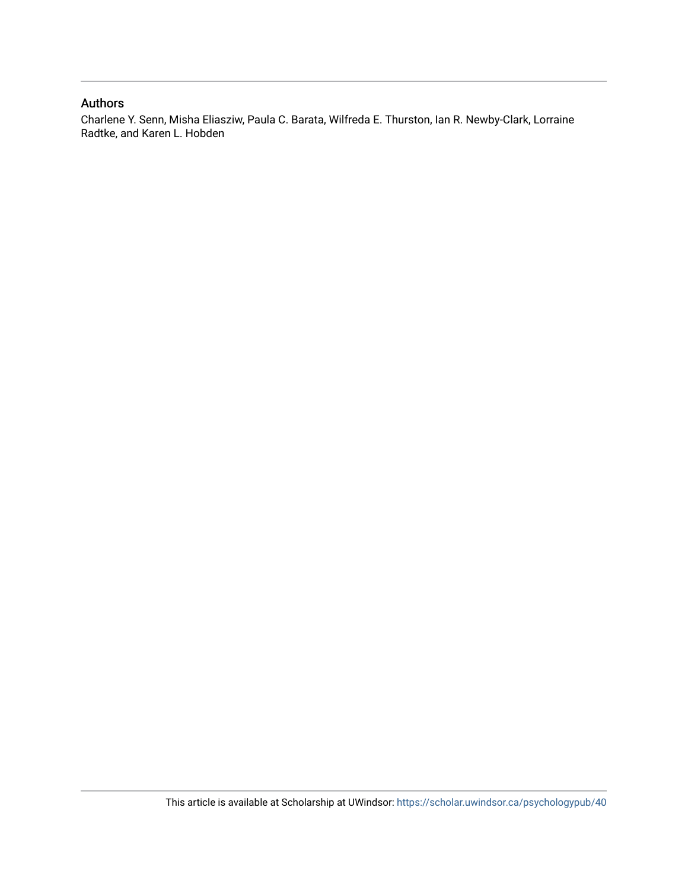# Authors

Charlene Y. Senn, Misha Eliasziw, Paula C. Barata, Wilfreda E. Thurston, Ian R. Newby-Clark, Lorraine Radtke, and Karen L. Hobden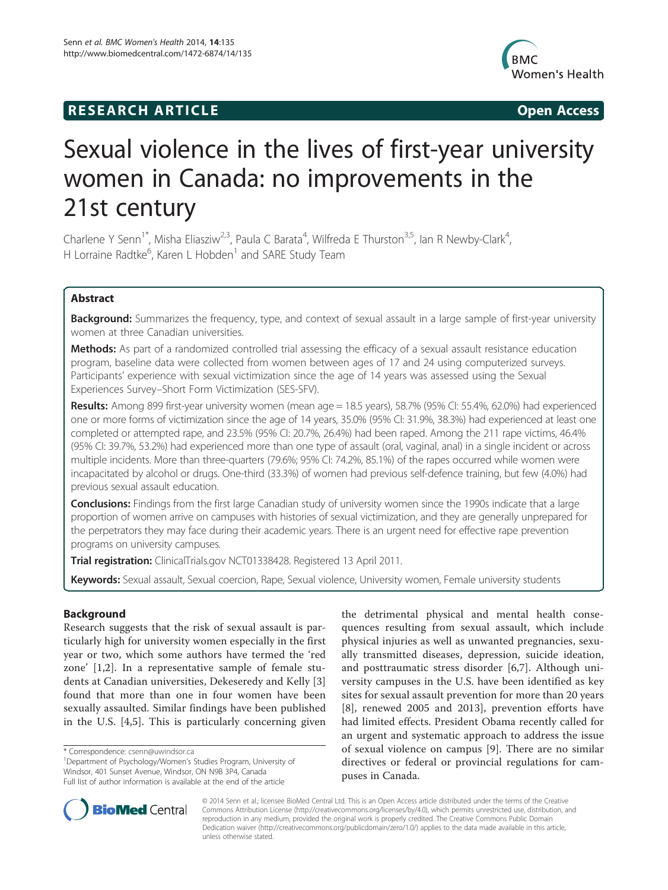# **RESEARCH ARTICLE Example 2014 CONSIDERING CONSIDERING CONSIDERING CONSIDERING CONSIDERING CONSIDERING CONSIDERING CONSIDERING CONSIDERING CONSIDERING CONSIDERING CONSIDERING CONSIDERING CONSIDERING CONSIDERING CONSIDE**



# Sexual violence in the lives of first-year university women in Canada: no improvements in the 21st century

Charlene Y Senn<sup>1\*</sup>, Misha Eliasziw<sup>2,3</sup>, Paula C Barata<sup>4</sup>, Wilfreda E Thurston<sup>3,5</sup>, Ian R Newby-Clark<sup>4</sup> , H Lorraine Radtke<sup>6</sup>, Karen L Hobden<sup>1</sup> and SARE Study Team

## Abstract

Background: Summarizes the frequency, type, and context of sexual assault in a large sample of first-year university women at three Canadian universities.

Methods: As part of a randomized controlled trial assessing the efficacy of a sexual assault resistance education program, baseline data were collected from women between ages of 17 and 24 using computerized surveys. Participants' experience with sexual victimization since the age of 14 years was assessed using the Sexual Experiences Survey–Short Form Victimization (SES-SFV).

Results: Among 899 first-year university women (mean age = 18.5 years), 58.7% (95% CI: 55.4%, 62.0%) had experienced one or more forms of victimization since the age of 14 years, 35.0% (95% CI: 31.9%, 38.3%) had experienced at least one completed or attempted rape, and 23.5% (95% CI: 20.7%, 26.4%) had been raped. Among the 211 rape victims, 46.4% (95% CI: 39.7%, 53.2%) had experienced more than one type of assault (oral, vaginal, anal) in a single incident or across multiple incidents. More than three-quarters (79.6%; 95% CI: 74.2%, 85.1%) of the rapes occurred while women were incapacitated by alcohol or drugs. One-third (33.3%) of women had previous self-defence training, but few (4.0%) had previous sexual assault education.

Conclusions: Findings from the first large Canadian study of university women since the 1990s indicate that a large proportion of women arrive on campuses with histories of sexual victimization, and they are generally unprepared for the perpetrators they may face during their academic years. There is an urgent need for effective rape prevention programs on university campuses.

Trial registration: ClinicalTrials.gov [NCT01338428.](http://clinicaltrials.gov/show/NCT01338428) Registered 13 April 2011.

Keywords: Sexual assault, Sexual coercion, Rape, Sexual violence, University women, Female university students

## Background

Research suggests that the risk of sexual assault is particularly high for university women especially in the first year or two, which some authors have termed the 'red zone' [\[1](#page-8-0),[2\]](#page-8-0). In a representative sample of female students at Canadian universities, Dekeseredy and Kelly [\[3](#page-8-0)] found that more than one in four women have been sexually assaulted. Similar findings have been published in the U.S. [[4,5](#page-8-0)]. This is particularly concerning given

Department of Psychology/Women's Studies Program, University of Windsor, 401 Sunset Avenue, Windsor, ON N9B 3P4, Canada Full list of author information is available at the end of the article

the detrimental physical and mental health consequences resulting from sexual assault, which include physical injuries as well as unwanted pregnancies, sexually transmitted diseases, depression, suicide ideation, and posttraumatic stress disorder [[6,7](#page-8-0)]. Although university campuses in the U.S. have been identified as key sites for sexual assault prevention for more than 20 years [[8\]](#page-8-0), renewed 2005 and 2013], prevention efforts have had limited effects. President Obama recently called for an urgent and systematic approach to address the issue of sexual violence on campus [[9\]](#page-8-0). There are no similar directives or federal or provincial regulations for campuses in Canada.



© 2014 Senn et al.; licensee BioMed Central Ltd. This is an Open Access article distributed under the terms of the Creative Commons Attribution License [\(http://creativecommons.org/licenses/by/4.0\)](http://creativecommons.org/licenses/by/4.0), which permits unrestricted use, distribution, and reproduction in any medium, provided the original work is properly credited. The Creative Commons Public Domain Dedication waiver [\(http://creativecommons.org/publicdomain/zero/1.0/](http://creativecommons.org/publicdomain/zero/1.0/)) applies to the data made available in this article, unless otherwise stated.

<sup>\*</sup> Correspondence: [csenn@uwindsor.ca](mailto:csenn@uwindsor.ca) <sup>1</sup>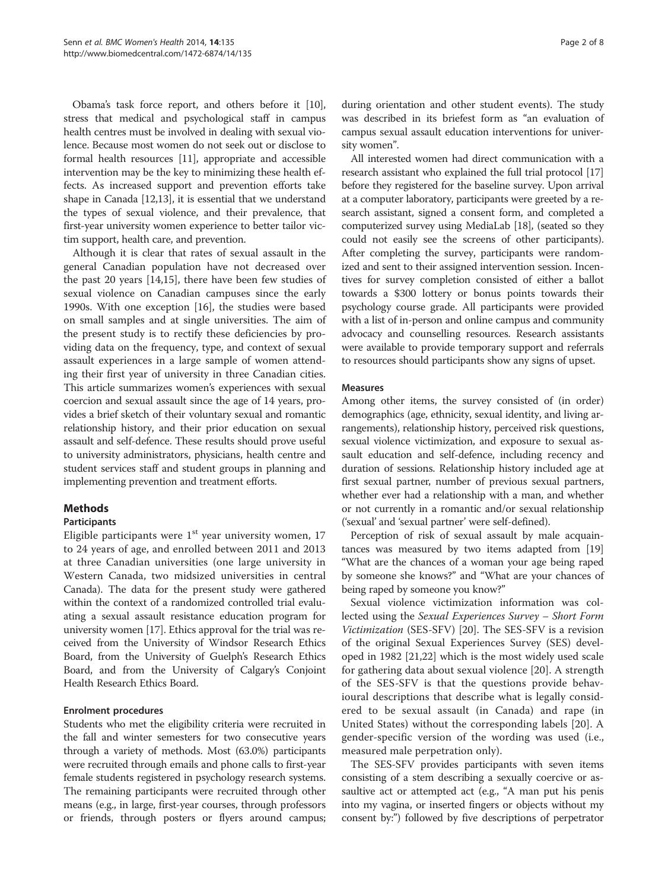Obama's task force report, and others before it [[10](#page-8-0)], stress that medical and psychological staff in campus health centres must be involved in dealing with sexual violence. Because most women do not seek out or disclose to formal health resources [\[11\]](#page-8-0), appropriate and accessible intervention may be the key to minimizing these health effects. As increased support and prevention efforts take shape in Canada [\[12,13](#page-8-0)], it is essential that we understand the types of sexual violence, and their prevalence, that first-year university women experience to better tailor victim support, health care, and prevention.

Although it is clear that rates of sexual assault in the general Canadian population have not decreased over the past 20 years [[14](#page-8-0),[15](#page-8-0)], there have been few studies of sexual violence on Canadian campuses since the early 1990s. With one exception [\[16](#page-8-0)], the studies were based on small samples and at single universities. The aim of the present study is to rectify these deficiencies by providing data on the frequency, type, and context of sexual assault experiences in a large sample of women attending their first year of university in three Canadian cities. This article summarizes women's experiences with sexual coercion and sexual assault since the age of 14 years, provides a brief sketch of their voluntary sexual and romantic relationship history, and their prior education on sexual assault and self-defence. These results should prove useful to university administrators, physicians, health centre and student services staff and student groups in planning and implementing prevention and treatment efforts.

#### **Methods**

#### Participants

Eligible participants were  $1<sup>st</sup>$  year university women, 17 to 24 years of age, and enrolled between 2011 and 2013 at three Canadian universities (one large university in Western Canada, two midsized universities in central Canada). The data for the present study were gathered within the context of a randomized controlled trial evaluating a sexual assault resistance education program for university women [\[17\]](#page-8-0). Ethics approval for the trial was received from the University of Windsor Research Ethics Board, from the University of Guelph's Research Ethics Board, and from the University of Calgary's Conjoint Health Research Ethics Board.

#### Enrolment procedures

Students who met the eligibility criteria were recruited in the fall and winter semesters for two consecutive years through a variety of methods. Most (63.0%) participants were recruited through emails and phone calls to first-year female students registered in psychology research systems. The remaining participants were recruited through other means (e.g., in large, first-year courses, through professors or friends, through posters or flyers around campus; during orientation and other student events). The study was described in its briefest form as "an evaluation of campus sexual assault education interventions for university women".

All interested women had direct communication with a research assistant who explained the full trial protocol [\[17](#page-8-0)] before they registered for the baseline survey. Upon arrival at a computer laboratory, participants were greeted by a research assistant, signed a consent form, and completed a computerized survey using MediaLab [\[18\]](#page-8-0), (seated so they could not easily see the screens of other participants). After completing the survey, participants were randomized and sent to their assigned intervention session. Incentives for survey completion consisted of either a ballot towards a \$300 lottery or bonus points towards their psychology course grade. All participants were provided with a list of in-person and online campus and community advocacy and counselling resources. Research assistants were available to provide temporary support and referrals to resources should participants show any signs of upset.

#### Measures

Among other items, the survey consisted of (in order) demographics (age, ethnicity, sexual identity, and living arrangements), relationship history, perceived risk questions, sexual violence victimization, and exposure to sexual assault education and self-defence, including recency and duration of sessions. Relationship history included age at first sexual partner, number of previous sexual partners, whether ever had a relationship with a man, and whether or not currently in a romantic and/or sexual relationship ('sexual' and 'sexual partner' were self-defined).

Perception of risk of sexual assault by male acquaintances was measured by two items adapted from [[19](#page-8-0)] "What are the chances of a woman your age being raped by someone she knows?" and "What are your chances of being raped by someone you know?"

Sexual violence victimization information was collected using the Sexual Experiences Survey – Short Form Victimization (SES-SFV) [\[20](#page-8-0)]. The SES-SFV is a revision of the original Sexual Experiences Survey (SES) developed in 1982 [\[21,22](#page-8-0)] which is the most widely used scale for gathering data about sexual violence [\[20](#page-8-0)]. A strength of the SES-SFV is that the questions provide behavioural descriptions that describe what is legally considered to be sexual assault (in Canada) and rape (in United States) without the corresponding labels [[20\]](#page-8-0). A gender-specific version of the wording was used (i.e., measured male perpetration only).

The SES-SFV provides participants with seven items consisting of a stem describing a sexually coercive or assaultive act or attempted act (e.g., "A man put his penis into my vagina, or inserted fingers or objects without my consent by:") followed by five descriptions of perpetrator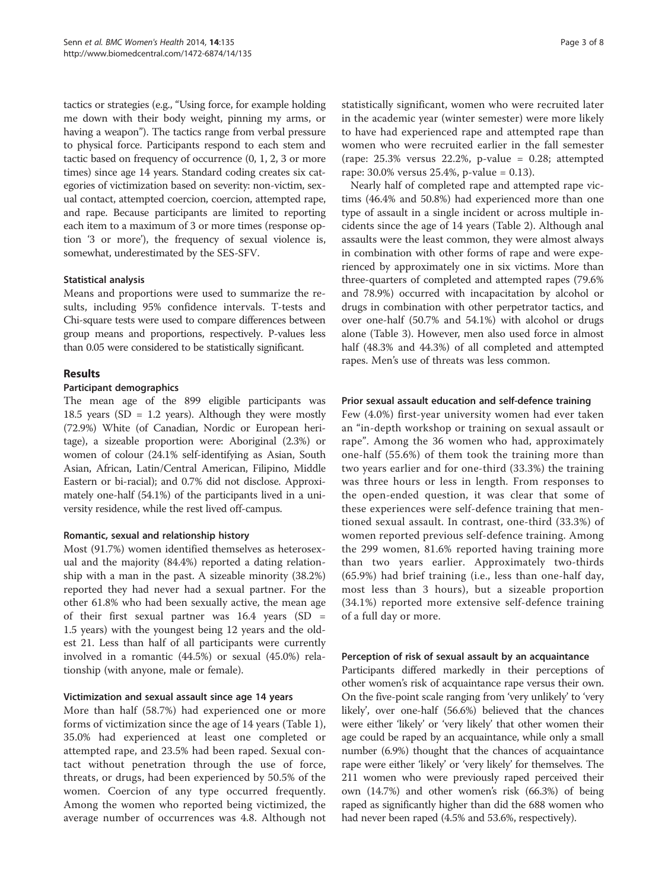tactics or strategies (e.g., "Using force, for example holding me down with their body weight, pinning my arms, or having a weapon"). The tactics range from verbal pressure to physical force. Participants respond to each stem and tactic based on frequency of occurrence (0, 1, 2, 3 or more times) since age 14 years. Standard coding creates six categories of victimization based on severity: non-victim, sexual contact, attempted coercion, coercion, attempted rape, and rape. Because participants are limited to reporting each item to a maximum of 3 or more times (response option '3 or more'), the frequency of sexual violence is, somewhat, underestimated by the SES-SFV.

#### Statistical analysis

Means and proportions were used to summarize the results, including 95% confidence intervals. T-tests and Chi-square tests were used to compare differences between group means and proportions, respectively. P-values less than 0.05 were considered to be statistically significant.

## Results

#### Participant demographics

The mean age of the 899 eligible participants was 18.5 years (SD = 1.2 years). Although they were mostly (72.9%) White (of Canadian, Nordic or European heritage), a sizeable proportion were: Aboriginal (2.3%) or women of colour (24.1% self-identifying as Asian, South Asian, African, Latin/Central American, Filipino, Middle Eastern or bi-racial); and 0.7% did not disclose. Approximately one-half (54.1%) of the participants lived in a university residence, while the rest lived off-campus.

#### Romantic, sexual and relationship history

Most (91.7%) women identified themselves as heterosexual and the majority (84.4%) reported a dating relationship with a man in the past. A sizeable minority (38.2%) reported they had never had a sexual partner. For the other 61.8% who had been sexually active, the mean age of their first sexual partner was 16.4 years (SD = 1.5 years) with the youngest being 12 years and the oldest 21. Less than half of all participants were currently involved in a romantic (44.5%) or sexual (45.0%) relationship (with anyone, male or female).

#### Victimization and sexual assault since age 14 years

More than half (58.7%) had experienced one or more forms of victimization since the age of 14 years (Table [1](#page-5-0)), 35.0% had experienced at least one completed or attempted rape, and 23.5% had been raped. Sexual contact without penetration through the use of force, threats, or drugs, had been experienced by 50.5% of the women. Coercion of any type occurred frequently. Among the women who reported being victimized, the average number of occurrences was 4.8. Although not statistically significant, women who were recruited later in the academic year (winter semester) were more likely to have had experienced rape and attempted rape than women who were recruited earlier in the fall semester (rape:  $25.3\%$  versus  $22.2\%$ , p-value = 0.28; attempted rape: 30.0% versus 25.4%, p-value = 0.13).

Nearly half of completed rape and attempted rape victims (46.4% and 50.8%) had experienced more than one type of assault in a single incident or across multiple incidents since the age of 14 years (Table [2](#page-5-0)). Although anal assaults were the least common, they were almost always in combination with other forms of rape and were experienced by approximately one in six victims. More than three-quarters of completed and attempted rapes (79.6% and 78.9%) occurred with incapacitation by alcohol or drugs in combination with other perpetrator tactics, and over one-half (50.7% and 54.1%) with alcohol or drugs alone (Table [3\)](#page-6-0). However, men also used force in almost half (48.3% and 44.3%) of all completed and attempted rapes. Men's use of threats was less common.

#### Prior sexual assault education and self-defence training

Few (4.0%) first-year university women had ever taken an "in-depth workshop or training on sexual assault or rape". Among the 36 women who had, approximately one-half (55.6%) of them took the training more than two years earlier and for one-third (33.3%) the training was three hours or less in length. From responses to the open-ended question, it was clear that some of these experiences were self-defence training that mentioned sexual assault. In contrast, one-third (33.3%) of women reported previous self-defence training. Among the 299 women, 81.6% reported having training more than two years earlier. Approximately two-thirds (65.9%) had brief training (i.e., less than one-half day, most less than 3 hours), but a sizeable proportion (34.1%) reported more extensive self-defence training of a full day or more.

#### Perception of risk of sexual assault by an acquaintance

Participants differed markedly in their perceptions of other women's risk of acquaintance rape versus their own. On the five-point scale ranging from 'very unlikely' to 'very likely', over one-half (56.6%) believed that the chances were either 'likely' or 'very likely' that other women their age could be raped by an acquaintance, while only a small number (6.9%) thought that the chances of acquaintance rape were either 'likely' or 'very likely' for themselves. The 211 women who were previously raped perceived their own (14.7%) and other women's risk (66.3%) of being raped as significantly higher than did the 688 women who had never been raped (4.5% and 53.6%, respectively).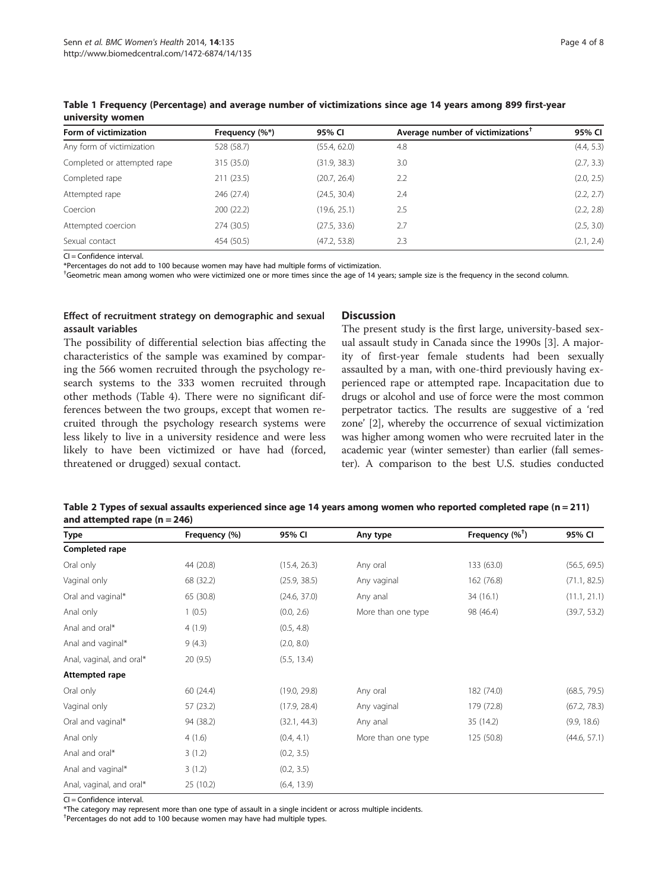| Form of victimization       | Frequency (%*) | 95% CI       | Average number of victimizations <sup><math>T</math></sup> | 95% CI     |
|-----------------------------|----------------|--------------|------------------------------------------------------------|------------|
| Any form of victimization   | 528 (58.7)     | (55.4, 62.0) | 4.8                                                        | (4.4, 5.3) |
| Completed or attempted rape | 315 (35.0)     | (31.9, 38.3) | 3.0                                                        | (2.7, 3.3) |
| Completed rape              | 211(23.5)      | (20.7, 26.4) | 2.2                                                        | (2.0, 2.5) |
| Attempted rape              | 246 (27.4)     | (24.5, 30.4) | 2.4                                                        | (2.2, 2.7) |
| Coercion                    | 200 (22.2)     | (19.6, 25.1) | 2.5                                                        | (2.2, 2.8) |
| Attempted coercion          | 274 (30.5)     | (27.5, 33.6) | 2.7                                                        | (2.5, 3.0) |
| Sexual contact              | 454 (50.5)     | (47.2, 53.8) | 2.3                                                        | (2.1, 2.4) |

<span id="page-5-0"></span>Table 1 Frequency (Percentage) and average number of victimizations since age 14 years among 899 first-year university women

CI = Confidence interval.

\*Percentages do not add to 100 because women may have had multiple forms of victimization.

† Geometric mean among women who were victimized one or more times since the age of 14 years; sample size is the frequency in the second column.

#### Effect of recruitment strategy on demographic and sexual assault variables

The possibility of differential selection bias affecting the characteristics of the sample was examined by comparing the 566 women recruited through the psychology research systems to the 333 women recruited through other methods (Table [4\)](#page-7-0). There were no significant differences between the two groups, except that women recruited through the psychology research systems were less likely to live in a university residence and were less likely to have been victimized or have had (forced, threatened or drugged) sexual contact.

### **Discussion**

The present study is the first large, university-based sexual assault study in Canada since the 1990s [\[3](#page-8-0)]. A majority of first-year female students had been sexually assaulted by a man, with one-third previously having experienced rape or attempted rape. Incapacitation due to drugs or alcohol and use of force were the most common perpetrator tactics. The results are suggestive of a 'red zone' [\[2\]](#page-8-0), whereby the occurrence of sexual victimization was higher among women who were recruited later in the academic year (winter semester) than earlier (fall semester). A comparison to the best U.S. studies conducted

| Table 2 Types of sexual assaults experienced since age 14 years among women who reported completed rape (n = 211) |  |
|-------------------------------------------------------------------------------------------------------------------|--|
| and attempted rape $(n = 246)$                                                                                    |  |

| <b>Type</b>              | Frequency (%) | 95% CI       | Any type           | Frequency $(\%^{\dagger})$ | 95% CI       |
|--------------------------|---------------|--------------|--------------------|----------------------------|--------------|
| Completed rape           |               |              |                    |                            |              |
| Oral only                | 44 (20.8)     | (15.4, 26.3) | Any oral           | 133 (63.0)                 | (56.5, 69.5) |
| Vaginal only             | 68 (32.2)     | (25.9, 38.5) | Any vaginal        | 162 (76.8)                 | (71.1, 82.5) |
| Oral and vaginal*        | 65 (30.8)     | (24.6, 37.0) | Any anal           | 34 (16.1)                  | (11.1, 21.1) |
| Anal only                | 1(0.5)        | (0.0, 2.6)   | More than one type | 98 (46.4)                  | (39.7, 53.2) |
| Anal and oral*           | 4(1.9)        | (0.5, 4.8)   |                    |                            |              |
| Anal and vaginal*        | 9(4.3)        | (2.0, 8.0)   |                    |                            |              |
| Anal, vaginal, and oral* | 20(9.5)       | (5.5, 13.4)  |                    |                            |              |
| Attempted rape           |               |              |                    |                            |              |
| Oral only                | 60 (24.4)     | (19.0, 29.8) | Any oral           | 182 (74.0)                 | (68.5, 79.5) |
| Vaginal only             | 57 (23.2)     | (17.9, 28.4) | Any vaginal        | 179 (72.8)                 | (67.2, 78.3) |
| Oral and vaginal*        | 94 (38.2)     | (32.1, 44.3) | Any anal           | 35 (14.2)                  | (9.9, 18.6)  |
| Anal only                | 4(1.6)        | (0.4, 4.1)   | More than one type | 125 (50.8)                 | (44.6, 57.1) |
| Anal and oral*           | 3(1.2)        | (0.2, 3.5)   |                    |                            |              |
| Anal and vaginal*        | 3(1.2)        | (0.2, 3.5)   |                    |                            |              |
| Anal, vaginal, and oral* | 25 (10.2)     | (6.4, 13.9)  |                    |                            |              |

 $Cl =$ Confidence interval.

\*The category may represent more than one type of assault in a single incident or across multiple incidents.

† Percentages do not add to 100 because women may have had multiple types.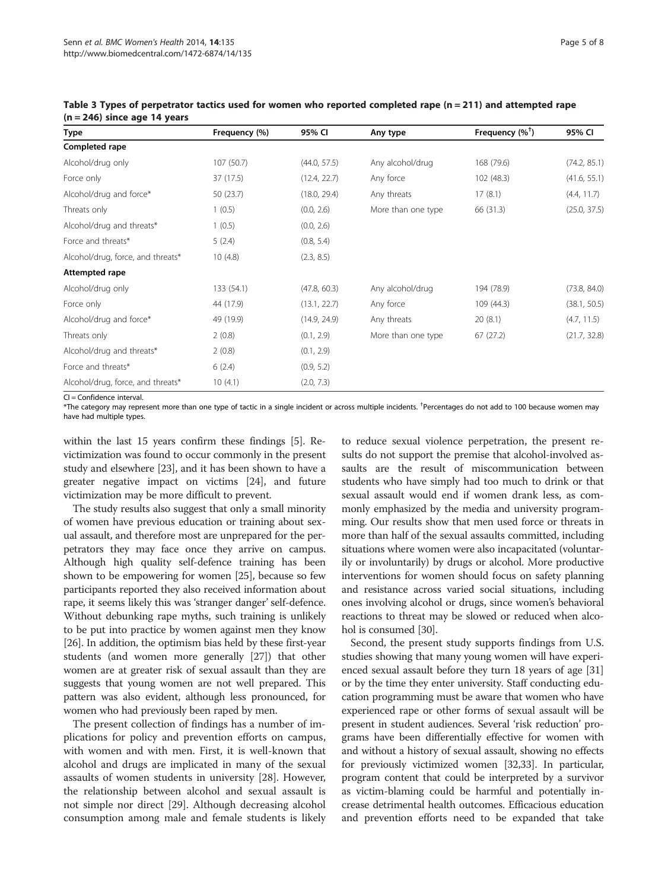| Type                              | Frequency (%) | 95% CI       | Any type           | Frequency $(%^{\dagger})$ | 95% CI       |
|-----------------------------------|---------------|--------------|--------------------|---------------------------|--------------|
| Completed rape                    |               |              |                    |                           |              |
| Alcohol/drug only                 | 107 (50.7)    | (44.0, 57.5) | Any alcohol/drug   | 168 (79.6)                | (74.2, 85.1) |
| Force only                        | 37 (17.5)     | (12.4, 22.7) | Any force          | 102 (48.3)                | (41.6, 55.1) |
| Alcohol/drug and force*           | 50 (23.7)     | (18.0, 29.4) | Any threats        | 17(8.1)                   | (4.4, 11.7)  |
| Threats only                      | 1(0.5)        | (0.0, 2.6)   | More than one type | 66 (31.3)                 | (25.0, 37.5) |
| Alcohol/drug and threats*         | 1(0.5)        | (0.0, 2.6)   |                    |                           |              |
| Force and threats*                | 5(2.4)        | (0.8, 5.4)   |                    |                           |              |
| Alcohol/drug, force, and threats* | 10(4.8)       | (2.3, 8.5)   |                    |                           |              |
| Attempted rape                    |               |              |                    |                           |              |
| Alcohol/drug only                 | 133 (54.1)    | (47.8, 60.3) | Any alcohol/drug   | 194 (78.9)                | (73.8, 84.0) |
| Force only                        | 44 (17.9)     | (13.1, 22.7) | Any force          | 109(44.3)                 | (38.1, 50.5) |
| Alcohol/drug and force*           | 49 (19.9)     | (14.9, 24.9) | Any threats        | 20(8.1)                   | (4.7, 11.5)  |
| Threats only                      | 2(0.8)        | (0.1, 2.9)   | More than one type | 67(27.2)                  | (21.7, 32.8) |
| Alcohol/drug and threats*         | 2(0.8)        | (0.1, 2.9)   |                    |                           |              |
| Force and threats*                | 6(2.4)        | (0.9, 5.2)   |                    |                           |              |
| Alcohol/drug, force, and threats* | 10(4.1)       | (2.0, 7.3)   |                    |                           |              |
|                                   |               |              |                    |                           |              |

<span id="page-6-0"></span>Table 3 Types of perpetrator tactics used for women who reported completed rape (n = 211) and attempted rape  $(n = 246)$  since age 14 years

CI = Confidence interval.

 $^*$ The category may represent more than one type of tactic in a single incident or across multiple incidents.  $^\dagger$ Percentages do not add to 100 because women may have had multiple types.

within the last 15 years confirm these findings [\[5](#page-8-0)]. Revictimization was found to occur commonly in the present study and elsewhere [\[23](#page-8-0)], and it has been shown to have a greater negative impact on victims [\[24](#page-8-0)], and future victimization may be more difficult to prevent.

The study results also suggest that only a small minority of women have previous education or training about sexual assault, and therefore most are unprepared for the perpetrators they may face once they arrive on campus. Although high quality self-defence training has been shown to be empowering for women [[25](#page-8-0)], because so few participants reported they also received information about rape, it seems likely this was 'stranger danger' self-defence. Without debunking rape myths, such training is unlikely to be put into practice by women against men they know [[26](#page-8-0)]. In addition, the optimism bias held by these first-year students (and women more generally [\[27\]](#page-8-0)) that other women are at greater risk of sexual assault than they are suggests that young women are not well prepared. This pattern was also evident, although less pronounced, for women who had previously been raped by men.

The present collection of findings has a number of implications for policy and prevention efforts on campus, with women and with men. First, it is well-known that alcohol and drugs are implicated in many of the sexual assaults of women students in university [[28](#page-8-0)]. However, the relationship between alcohol and sexual assault is not simple nor direct [\[29\]](#page-8-0). Although decreasing alcohol consumption among male and female students is likely

to reduce sexual violence perpetration, the present results do not support the premise that alcohol-involved assaults are the result of miscommunication between students who have simply had too much to drink or that sexual assault would end if women drank less, as commonly emphasized by the media and university programming. Our results show that men used force or threats in more than half of the sexual assaults committed, including situations where women were also incapacitated (voluntarily or involuntarily) by drugs or alcohol. More productive interventions for women should focus on safety planning and resistance across varied social situations, including ones involving alcohol or drugs, since women's behavioral reactions to threat may be slowed or reduced when alcohol is consumed [[30](#page-8-0)].

Second, the present study supports findings from U.S. studies showing that many young women will have experienced sexual assault before they turn 18 years of age [[31](#page-8-0)] or by the time they enter university. Staff conducting education programming must be aware that women who have experienced rape or other forms of sexual assault will be present in student audiences. Several 'risk reduction' programs have been differentially effective for women with and without a history of sexual assault, showing no effects for previously victimized women [[32,33\]](#page-8-0). In particular, program content that could be interpreted by a survivor as victim-blaming could be harmful and potentially increase detrimental health outcomes. Efficacious education and prevention efforts need to be expanded that take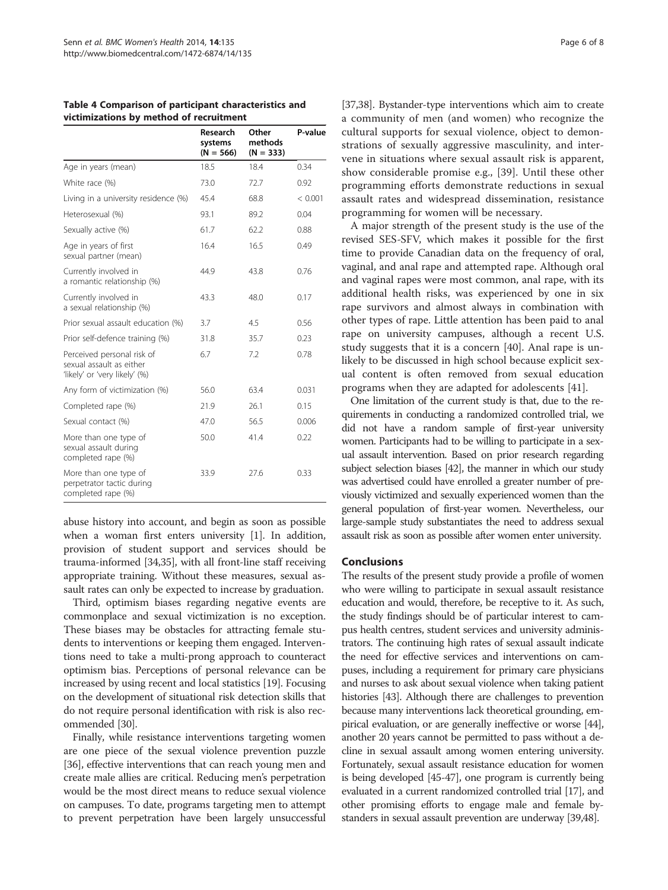<span id="page-7-0"></span>Table 4 Comparison of participant characteristics and victimizations by method of recruitment

|                                                                                         | Research<br>systems<br>$(N = 566)$ | Other<br>methods<br>$(N = 333)$ | P-value |
|-----------------------------------------------------------------------------------------|------------------------------------|---------------------------------|---------|
| Age in years (mean)                                                                     | 18.5                               | 18.4                            | 0.34    |
| White race (%)                                                                          | 73.0                               | 72.7                            | 0.92    |
| Living in a university residence (%)                                                    | 45.4                               | 68.8                            | < 0.001 |
| Heterosexual (%)                                                                        | 93.1                               | 89.2                            | 0.04    |
| Sexually active (%)                                                                     | 61.7                               | 62.2                            | 0.88    |
| Age in years of first<br>sexual partner (mean)                                          | 16.4                               | 16.5                            | 0.49    |
| Currently involved in<br>a romantic relationship (%)                                    | 44.9                               | 43.8                            | 0.76    |
| Currently involved in<br>a sexual relationship (%)                                      | 43.3                               | 48.0                            | 0.17    |
| Prior sexual assault education (%)                                                      | 3.7                                | 4.5                             | 0.56    |
| Prior self-defence training (%)                                                         | 31.8                               | 35.7                            | 0.23    |
| Perceived personal risk of<br>sexual assault as either<br>'likely' or 'very likely' (%) | 6.7                                | 7.2                             | 0.78    |
| Any form of victimization (%)                                                           | 56.0                               | 63.4                            | 0.031   |
| Completed rape (%)                                                                      | 21.9                               | 26.1                            | 0.15    |
| Sexual contact (%)                                                                      | 47.0                               | 56.5                            | 0.006   |
| More than one type of<br>sexual assault during<br>completed rape (%)                    | 50.0                               | 41.4                            | 0.22    |
| More than one type of<br>perpetrator tactic during<br>completed rape (%)                | 33.9                               | 27.6                            | 0.33    |

abuse history into account, and begin as soon as possible when a woman first enters university [\[1](#page-8-0)]. In addition, provision of student support and services should be trauma-informed [[34,35\]](#page-8-0), with all front-line staff receiving appropriate training. Without these measures, sexual assault rates can only be expected to increase by graduation.

Third, optimism biases regarding negative events are commonplace and sexual victimization is no exception. These biases may be obstacles for attracting female students to interventions or keeping them engaged. Interventions need to take a multi-prong approach to counteract optimism bias. Perceptions of personal relevance can be increased by using recent and local statistics [[19](#page-8-0)]. Focusing on the development of situational risk detection skills that do not require personal identification with risk is also recommended [[30](#page-8-0)].

Finally, while resistance interventions targeting women are one piece of the sexual violence prevention puzzle [[36](#page-8-0)], effective interventions that can reach young men and create male allies are critical. Reducing men's perpetration would be the most direct means to reduce sexual violence on campuses. To date, programs targeting men to attempt to prevent perpetration have been largely unsuccessful

[[37,38](#page-8-0)]. Bystander-type interventions which aim to create a community of men (and women) who recognize the cultural supports for sexual violence, object to demonstrations of sexually aggressive masculinity, and intervene in situations where sexual assault risk is apparent, show considerable promise e.g., [[39\]](#page-8-0). Until these other programming efforts demonstrate reductions in sexual assault rates and widespread dissemination, resistance programming for women will be necessary.

A major strength of the present study is the use of the revised SES-SFV, which makes it possible for the first time to provide Canadian data on the frequency of oral, vaginal, and anal rape and attempted rape. Although oral and vaginal rapes were most common, anal rape, with its additional health risks, was experienced by one in six rape survivors and almost always in combination with other types of rape. Little attention has been paid to anal rape on university campuses, although a recent U.S. study suggests that it is a concern [\[40](#page-9-0)]. Anal rape is unlikely to be discussed in high school because explicit sexual content is often removed from sexual education programs when they are adapted for adolescents [\[41](#page-9-0)].

One limitation of the current study is that, due to the requirements in conducting a randomized controlled trial, we did not have a random sample of first-year university women. Participants had to be willing to participate in a sexual assault intervention. Based on prior research regarding subject selection biases [[42\]](#page-9-0), the manner in which our study was advertised could have enrolled a greater number of previously victimized and sexually experienced women than the general population of first-year women. Nevertheless, our large-sample study substantiates the need to address sexual assault risk as soon as possible after women enter university.

#### Conclusions

The results of the present study provide a profile of women who were willing to participate in sexual assault resistance education and would, therefore, be receptive to it. As such, the study findings should be of particular interest to campus health centres, student services and university administrators. The continuing high rates of sexual assault indicate the need for effective services and interventions on campuses, including a requirement for primary care physicians and nurses to ask about sexual violence when taking patient histories [\[43](#page-9-0)]. Although there are challenges to prevention because many interventions lack theoretical grounding, empirical evaluation, or are generally ineffective or worse [\[44](#page-9-0)], another 20 years cannot be permitted to pass without a decline in sexual assault among women entering university. Fortunately, sexual assault resistance education for women is being developed [\[45-47](#page-9-0)], one program is currently being evaluated in a current randomized controlled trial [[17](#page-8-0)], and other promising efforts to engage male and female bystanders in sexual assault prevention are underway [[39](#page-8-0)[,48](#page-9-0)].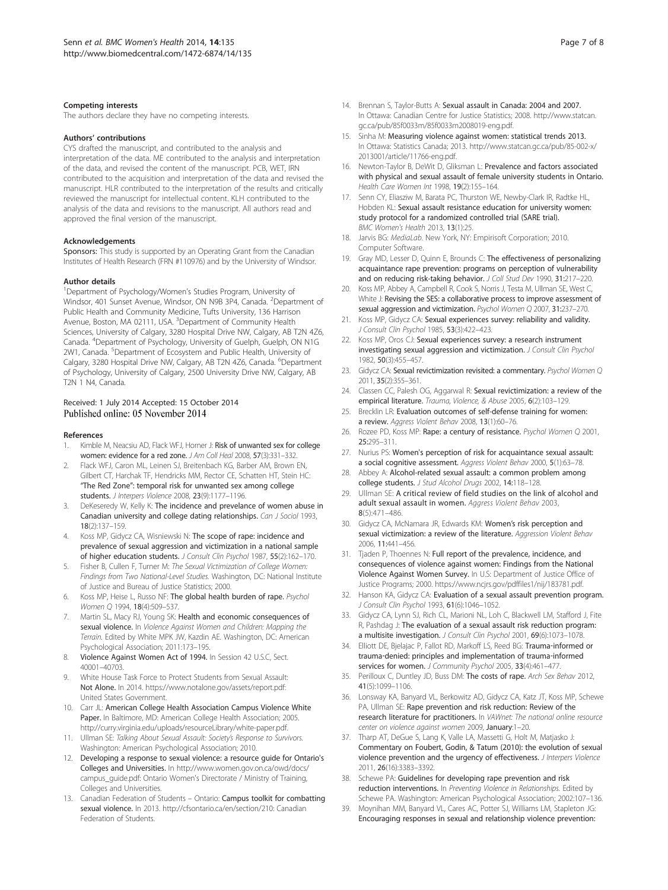#### <span id="page-8-0"></span>Competing interests

The authors declare they have no competing interests.

#### Authors' contributions

CYS drafted the manuscript, and contributed to the analysis and interpretation of the data. ME contributed to the analysis and interpretation of the data, and revised the content of the manuscript. PCB, WET, IRN contributed to the acquisition and interpretation of the data and revised the manuscript. HLR contributed to the interpretation of the results and critically reviewed the manuscript for intellectual content. KLH contributed to the analysis of the data and revisions to the manuscript. All authors read and approved the final version of the manuscript.

#### Acknowledgements

Sponsors: This study is supported by an Operating Grant from the Canadian Institutes of Health Research (FRN #110976) and by the University of Windsor.

#### Author details

<sup>1</sup>Department of Psychology/Women's Studies Program, University of Windsor, 401 Sunset Avenue, Windsor, ON N9B 3P4, Canada. <sup>2</sup>Department of Public Health and Community Medicine, Tufts University, 136 Harrison Avenue, Boston, MA 02111, USA. <sup>3</sup>Department of Community Health Sciences, University of Calgary, 3280 Hospital Drive NW, Calgary, AB T2N 4Z6, Canada. <sup>4</sup> Department of Psychology, University of Guelph, Guelph, ON N1G 2W1, Canada. <sup>5</sup>Department of Ecosystem and Public Health, University of Calgary, 3280 Hospital Drive NW, Calgary, AB T2N 4Z6, Canada. <sup>6</sup>Department of Psychology, University of Calgary, 2500 University Drive NW, Calgary, AB T2N 1 N4, Canada.

# Received: 1 July 2014 Accepted: 15 October 2014<br>Published online: 05 November 2014

#### References

- 1. Kimble M, Neacsiu AD, Flack WFJ, Horner J: Risk of unwanted sex for college women: evidence for a red zone. J Am Coll Heal 2008, 57(3):331–332.
- 2. Flack WFJ, Caron ML, Leinen SJ, Breitenbach KG, Barber AM, Brown EN, Gilbert CT, Harchak TF, Hendricks MM, Rector CE, Schatten HT, Stein HC: "The Red Zone": temporal risk for unwanted sex among college students. J Interpers Violence 2008, 23(9):1177–1196.
- DeKeseredy W, Kelly K: The incidence and prevelance of women abuse in Canadian university and college dating relationships. Can J Sociol 1993, 18(2):137–159.
- 4. Koss MP, Gidycz CA, Wisniewski N: The scope of rape: incidence and prevalence of sexual aggression and victimization in a national sample of higher education students. J Consult Clin Psychol 1987, 55(2):162–170.
- Fisher B, Cullen F, Turner M: The Sexual Victimization of College Women: Findings from Two National-Level Studies. Washington, DC: National Institute of Justice and Bureau of Justice Statistics; 2000.
- Koss MP, Heise L, Russo NF: The global health burden of rape. Psychol Women Q 1994, 18(4):509-537.
- 7. Martin SL, Macy RJ, Young SK: Health and economic consequences of sexual violence. In Violence Against Women and Children: Mapping the Terrain. Edited by White MPK JW, Kazdin AE. Washington, DC: American Psychological Association; 2011:173–195.
- 8. Violence Against Women Act of 1994. In Session 42 U.S.C, Sect. 40001–40703.
- 9. White House Task Force to Protect Students from Sexual Assault: Not Alone. In 2014. [https://www.notalone.gov/assets/report.pdf:](https://www.notalone.gov/assets/report.pdf) United States Government.
- 10. Carr JL: American College Health Association Campus Violence White Paper. In Baltimore, MD: American College Health Association; 2005. [http://curry.virginia.edu/uploads/resourceLibrary/white-paper.pdf.](http://curry.virginia.edu/uploads/resourceLibrary/white-paper.pdf)
- 11. Ullman SE: Talking About Sexual Assault: Society's Response to Survivors. Washington: American Psychological Association; 2010.
- 12. Developing a response to sexual violence: a resource guide for Ontario's Colleges and Universities. In [http://www.women.gov.on.ca/owd/docs/](http://www.women.gov.on.ca/owd/docs/campus_guide.pdf) [campus\\_guide.pdf:](http://www.women.gov.on.ca/owd/docs/campus_guide.pdf) Ontario Women's Directorate / Ministry of Training, Colleges and Universities.
- 13. Canadian Federation of Students Ontario: Campus toolkit for combatting sexual violence. In 2013. [http://cfsontario.ca/en/section/210:](http://cfsontario.ca/en/section/210) Canadian Federation of Students.
- 14. Brennan S, Taylor-Butts A: Sexual assault in Canada: 2004 and 2007. In Ottawa: Canadian Centre for Justice Statistics; 2008. [http://www.statcan.](http://www.statcan.gc.ca/pub/85f0033m/85f0033m2008019-eng.pdf) [gc.ca/pub/85f0033m/85f0033m2008019-eng.pdf.](http://www.statcan.gc.ca/pub/85f0033m/85f0033m2008019-eng.pdf)
- 15. Sinha M: Measuring violence against women: statistical trends 2013. In Ottawa: Statistics Canada; 2013. [http://www.statcan.gc.ca/pub/85-002-x/](http://www.statcan.gc.ca/pub/85-002-x/2013001/article/11766-eng.pdf) [2013001/article/11766-eng.pdf](http://www.statcan.gc.ca/pub/85-002-x/2013001/article/11766-eng.pdf).
- 16. Newton-Taylor B, DeWit D, Gliksman L: Prevalence and factors associated with physical and sexual assault of female university students in Ontario. Health Care Women Int 1998, 19(2):155–164.
- 17. Senn CY, Eliasziw M, Barata PC, Thurston WE, Newby-Clark IR, Radtke HL, Hobden KL: Sexual assault resistance education for university women: study protocol for a randomized controlled trial (SARE trial). BMC Women's Health 2013, 13(1):25.
- 18. Jarvis BG: MediaLab. New York, NY: Empirisoft Corporation: 2010. Computer Software.
- 19. Gray MD, Lesser D, Quinn E, Brounds C: The effectiveness of personalizing acquaintance rape prevention: programs on perception of vulnerability and on reducing risk-taking behavior. J Coll Stud Dev 1990, 31:217-220.
- 20. Koss MP, Abbey A, Campbell R, Cook S, Norris J, Testa M, Ullman SE, West C, White J: Revising the SES: a collaborative process to improve assessment of sexual aggression and victimization. Psychol Women Q 2007, 31:237–270.
- 21. Koss MP, Gidycz CA: Sexual experiences survey: reliability and validity. J Consult Clin Psychol 1985, 53(3):422–423.
- 22. Koss MP, Oros CJ: Sexual experiences survey: a research instrument investigating sexual aggression and victimization. J Consult Clin Psychol 1982, 50(3):455–457.
- 23. Gidycz CA: Sexual revictimization revisited: a commentary. Psychol Women Q 2011, 35(2):355–361.
- 24. Classen CC, Palesh OG, Aggarwal R: Sexual revictimization: a review of the empirical literature. Trauma, Violence, & Abuse 2005, 6(2):103–129.
- 25. Brecklin LR: Evaluation outcomes of self-defense training for women: a review. Aggress Violent Behav 2008, 13(1):60–76.
- 26. Rozee PD, Koss MP: Rape: a century of resistance. Psychol Women Q 2001, 25:295–311.
- 27. Nurius PS: Women's perception of risk for acquaintance sexual assault: a social cognitive assessment. Aggress Violent Behav 2000, 5(1):63–78.
- 28. Abbey A: Alcohol-related sexual assault: a common problem among college students. J Stud Alcohol Drugs 2002, 14:118-128.
- 29. Ullman SE: A critical review of field studies on the link of alcohol and adult sexual assault in women. Aggress Violent Behav 2003, 8(5):471–486.
- 30. Gidycz CA, McNamara JR, Edwards KM: Women's risk perception and sexual victimization: a review of the literature. Aggression Violent Behav 2006, 11:441–456.
- 31. Tjaden P, Thoennes N: Full report of the prevalence, incidence, and consequences of violence against women: Findings from the National Violence Against Women Survey. In U.S: Department of Justice Office of Justice Programs; 2000.<https://www.ncjrs.gov/pdffiles1/nij/183781.pdf>.
- 32. Hanson KA, Gidycz CA: Evaluation of a sexual assault prevention program. J Consult Clin Psychol 1993, 61(6):1046–1052.
- 33. Gidycz CA, Lynn SJ, Rich CL, Marioni NL, Loh C, Blackwell LM, Stafford J, Fite R, Pashdag J: The evaluation of a sexual assault risk reduction program: a multisite investigation. J Consult Clin Psychol 2001, 69(6):1073–1078.
- 34. Elliott DE, Bjelajac P, Fallot RD, Markoff LS, Reed BG: Trauma-informed or trauma‐denied: principles and implementation of trauma‐informed services for women. J Community Psychol 2005, 33(4):461-477
- 35. Perilloux C, Duntley JD, Buss DM: The costs of rape. Arch Sex Behav 2012, 41(5):1099–1106.
- 36. Lonsway KA, Banyard VL, Berkowitz AD, Gidycz CA, Katz JT, Koss MP, Schewe PA, Ullman SE: Rape prevention and risk reduction: Review of the research literature for practitioners. In VAWnet: The national online resource center on violence against women 2009, January:1–20.
- 37. Tharp AT, DeGue S, Lang K, Valle LA, Massetti G, Holt M, Matjasko J: Commentary on Foubert, Godin, & Tatum (2010): the evolution of sexual violence prevention and the urgency of effectiveness. J Interpers Violence 2011, 26(16):3383–3392.
- 38. Schewe PA: Guidelines for developing rape prevention and risk reduction interventions. In Preventing Violence in Relationships. Edited by Schewe PA. Washington: American Psychological Association; 2002:107–136.
- 39. Moynihan MM, Banyard VL, Cares AC, Potter SJ, Williams LM, Stapleton JG: Encouraging responses in sexual and relationship violence prevention: